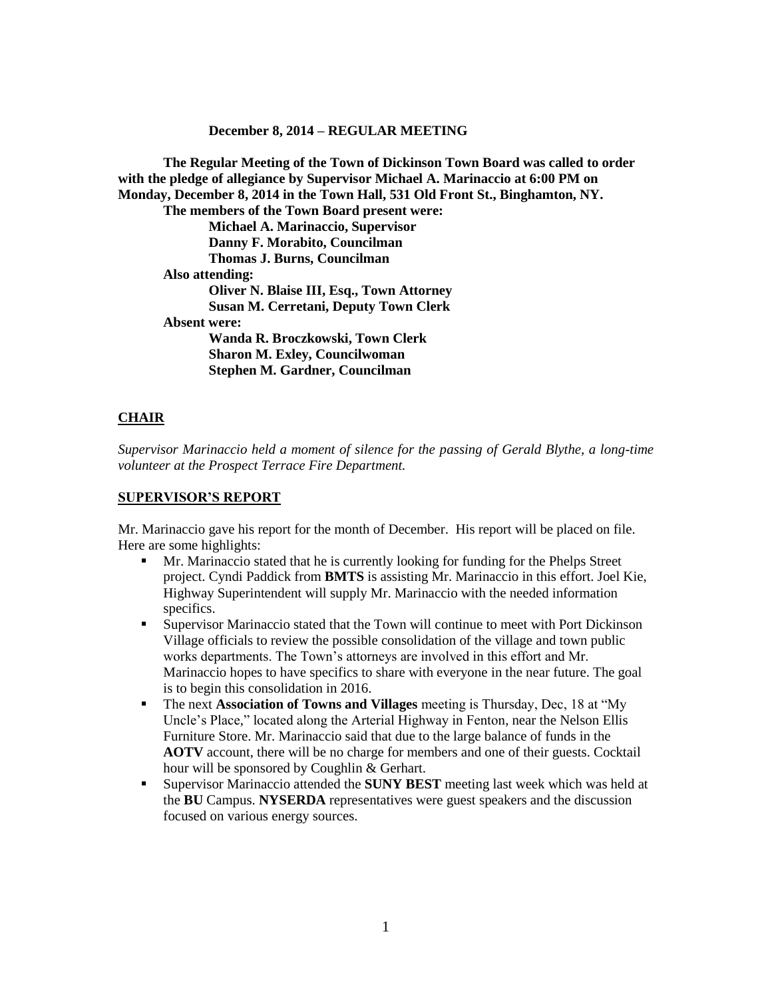#### **December 8, 2014 – REGULAR MEETING**

**The Regular Meeting of the Town of Dickinson Town Board was called to order with the pledge of allegiance by Supervisor Michael A. Marinaccio at 6:00 PM on Monday, December 8, 2014 in the Town Hall, 531 Old Front St., Binghamton, NY. The members of the Town Board present were: Michael A. Marinaccio, Supervisor Danny F. Morabito, Councilman Thomas J. Burns, Councilman Also attending: Oliver N. Blaise III, Esq., Town Attorney Susan M. Cerretani, Deputy Town Clerk Absent were: Wanda R. Broczkowski, Town Clerk Sharon M. Exley, Councilwoman Stephen M. Gardner, Councilman**

#### **CHAIR**

*Supervisor Marinaccio held a moment of silence for the passing of Gerald Blythe, a long-time volunteer at the Prospect Terrace Fire Department.*

#### **SUPERVISOR'S REPORT**

Mr. Marinaccio gave his report for the month of December. His report will be placed on file. Here are some highlights:

- Mr. Marinaccio stated that he is currently looking for funding for the Phelps Street project. Cyndi Paddick from **BMTS** is assisting Mr. Marinaccio in this effort. Joel Kie, Highway Superintendent will supply Mr. Marinaccio with the needed information specifics.
- Supervisor Marinaccio stated that the Town will continue to meet with Port Dickinson Village officials to review the possible consolidation of the village and town public works departments. The Town's attorneys are involved in this effort and Mr. Marinaccio hopes to have specifics to share with everyone in the near future. The goal is to begin this consolidation in 2016.
- The next **Association of Towns and Villages** meeting is Thursday, Dec, 18 at "My Uncle's Place," located along the Arterial Highway in Fenton, near the Nelson Ellis Furniture Store. Mr. Marinaccio said that due to the large balance of funds in the **AOTV** account, there will be no charge for members and one of their guests. Cocktail hour will be sponsored by Coughlin & Gerhart.
- Supervisor Marinaccio attended the **SUNY BEST** meeting last week which was held at the **BU** Campus. **NYSERDA** representatives were guest speakers and the discussion focused on various energy sources.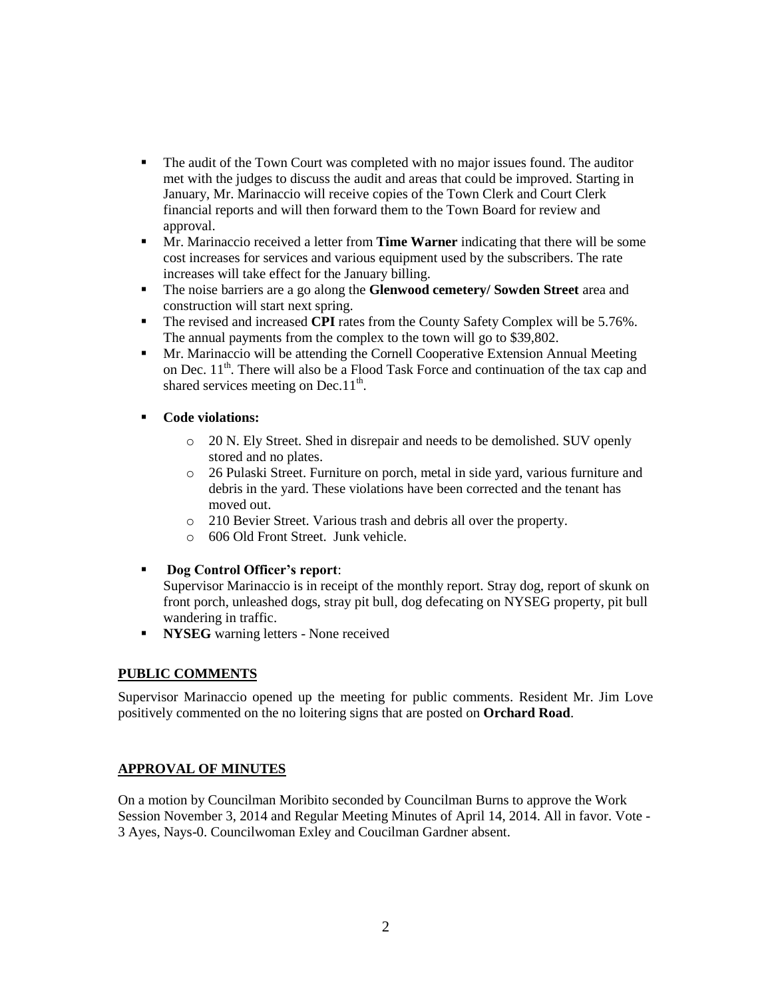- The audit of the Town Court was completed with no major issues found. The auditor met with the judges to discuss the audit and areas that could be improved. Starting in January, Mr. Marinaccio will receive copies of the Town Clerk and Court Clerk financial reports and will then forward them to the Town Board for review and approval.
- Mr. Marinaccio received a letter from **Time Warner** indicating that there will be some cost increases for services and various equipment used by the subscribers. The rate increases will take effect for the January billing.
- The noise barriers are a go along the **Glenwood cemetery/ Sowden Street** area and construction will start next spring.
- The revised and increased **CPI** rates from the County Safety Complex will be 5.76%. The annual payments from the complex to the town will go to \$39,802.
- **Mr.** Marinaccio will be attending the Cornell Cooperative Extension Annual Meeting on Dec.  $11<sup>th</sup>$ . There will also be a Flood Task Force and continuation of the tax cap and shared services meeting on Dec.11<sup>th</sup>.

# **Code violations:**

- o 20 N. Ely Street. Shed in disrepair and needs to be demolished. SUV openly stored and no plates.
- o 26 Pulaski Street. Furniture on porch, metal in side yard, various furniture and debris in the yard. These violations have been corrected and the tenant has moved out.
- o 210 Bevier Street. Various trash and debris all over the property.
- o 606 Old Front Street. Junk vehicle.
- **Dog Control Officer's report**:

Supervisor Marinaccio is in receipt of the monthly report. Stray dog, report of skunk on front porch, unleashed dogs, stray pit bull, dog defecating on NYSEG property, pit bull wandering in traffic.

**NYSEG** warning letters - None received

### **PUBLIC COMMENTS**

Supervisor Marinaccio opened up the meeting for public comments. Resident Mr. Jim Love positively commented on the no loitering signs that are posted on **Orchard Road**.

# **APPROVAL OF MINUTES**

On a motion by Councilman Moribito seconded by Councilman Burns to approve the Work Session November 3, 2014 and Regular Meeting Minutes of April 14, 2014. All in favor. Vote - 3 Ayes, Nays-0. Councilwoman Exley and Coucilman Gardner absent.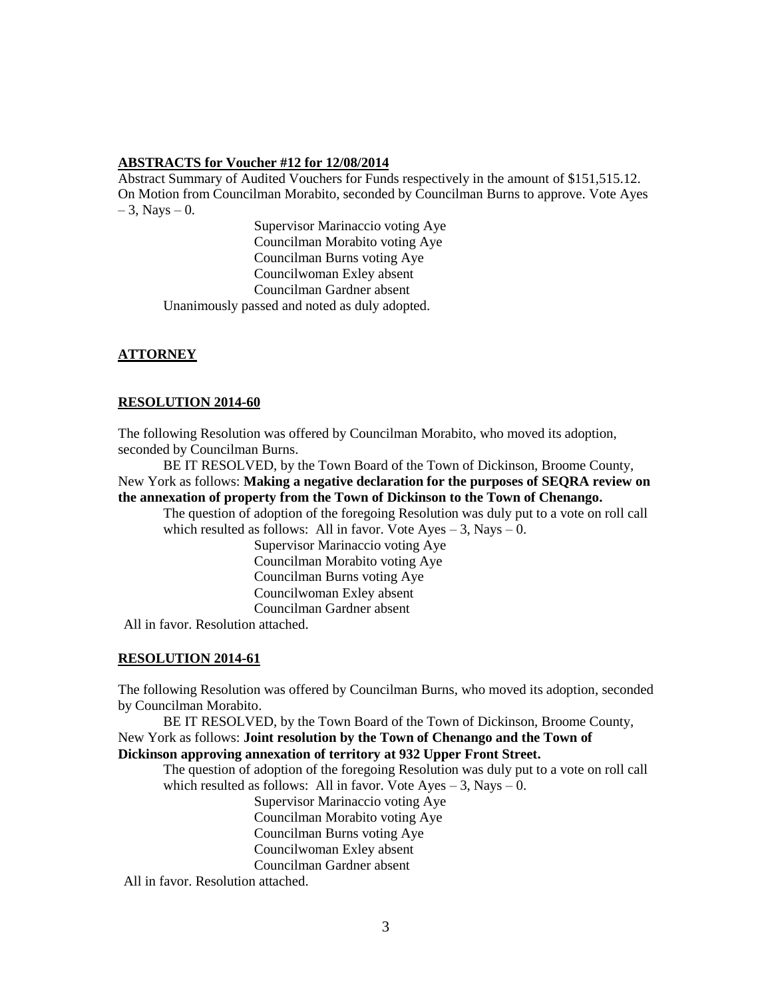#### **ABSTRACTS for Voucher #12 for 12/08/2014**

Abstract Summary of Audited Vouchers for Funds respectively in the amount of \$151,515.12. On Motion from Councilman Morabito, seconded by Councilman Burns to approve. Vote Ayes  $-3$ , Nays  $-0$ .

Supervisor Marinaccio voting Aye Councilman Morabito voting Aye Councilman Burns voting Aye Councilwoman Exley absent Councilman Gardner absent Unanimously passed and noted as duly adopted.

# **ATTORNEY**

### **RESOLUTION 2014-60**

The following Resolution was offered by Councilman Morabito, who moved its adoption, seconded by Councilman Burns.

BE IT RESOLVED, by the Town Board of the Town of Dickinson, Broome County, New York as follows: **Making a negative declaration for the purposes of SEQRA review on the annexation of property from the Town of Dickinson to the Town of Chenango.**

The question of adoption of the foregoing Resolution was duly put to a vote on roll call which resulted as follows: All in favor. Vote  $Ayes - 3$ , Nays  $- 0$ .

> Supervisor Marinaccio voting Aye Councilman Morabito voting Aye Councilman Burns voting Aye Councilwoman Exley absent Councilman Gardner absent

All in favor. Resolution attached.

### **RESOLUTION 2014-61**

The following Resolution was offered by Councilman Burns, who moved its adoption, seconded by Councilman Morabito.

BE IT RESOLVED, by the Town Board of the Town of Dickinson, Broome County, New York as follows: **Joint resolution by the Town of Chenango and the Town of Dickinson approving annexation of territory at 932 Upper Front Street.**

The question of adoption of the foregoing Resolution was duly put to a vote on roll call which resulted as follows: All in favor. Vote  $Ayes - 3$ , Nays  $- 0$ .

Supervisor Marinaccio voting Aye

Councilman Morabito voting Aye

Councilman Burns voting Aye

Councilwoman Exley absent

Councilman Gardner absent

All in favor. Resolution attached.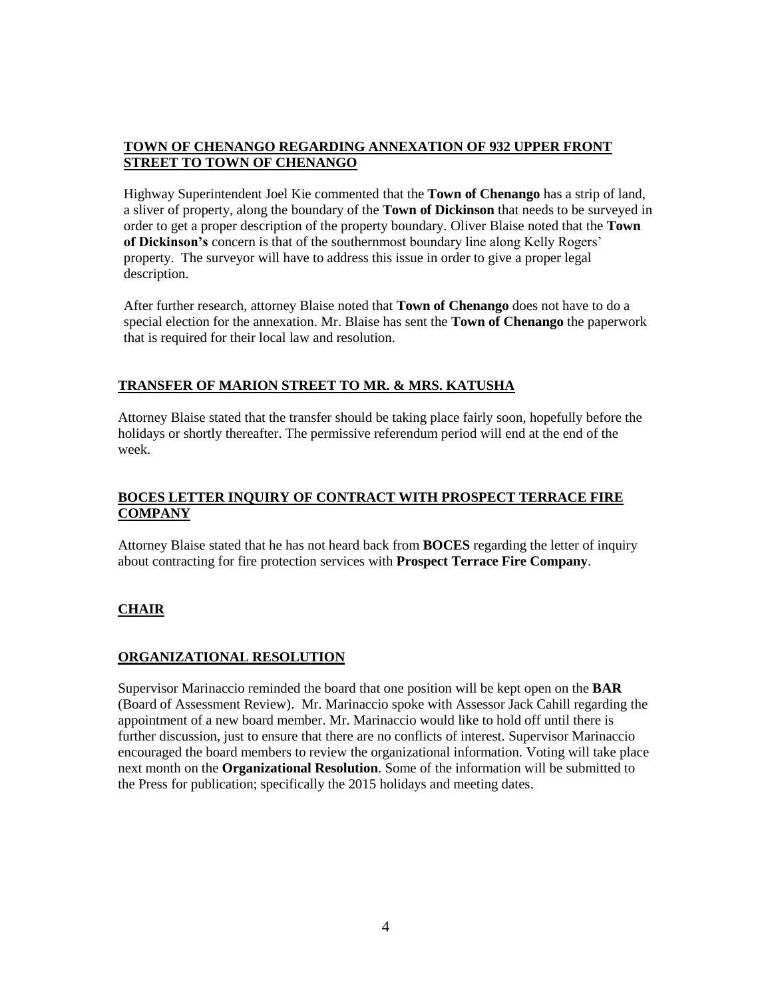# **TOWN OF CHENANGO REGARDING ANNEXATION OF 932 UPPER FRONT STREET TO TOWN OF CHENANGO**

Highway Superintendent Joel Kie commented that the **Town of Chenango** has a strip of land, a sliver of property, along the boundary of the **Town of Dickinson** that needs to be surveyed in order to get a proper description of the property boundary. Oliver Blaise noted that the **Town of Dickinson's** concern is that of the southernmost boundary line along Kelly Rogers' property. The surveyor will have to address this issue in order to give a proper legal description.

After further research, attorney Blaise noted that **Town of Chenango** does not have to do a special election for the annexation. Mr. Blaise has sent the **Town of Chenango** the paperwork that is required for their local law and resolution.

# **TRANSFER OF MARION STREET TO MR. & MRS. KATUSHA**

Attorney Blaise stated that the transfer should be taking place fairly soon, hopefully before the holidays or shortly thereafter. The permissive referendum period will end at the end of the week.

# **BOCES LETTER INQUIRY OF CONTRACT WITH PROSPECT TERRACE FIRE COMPANY**

Attorney Blaise stated that he has not heard back from **BOCES** regarding the letter of inquiry about contracting for fire protection services with **Prospect Terrace Fire Company**.

# **CHAIR**

### **ORGANIZATIONAL RESOLUTION**

Supervisor Marinaccio reminded the board that one position will be kept open on the **BAR** (Board of Assessment Review). Mr. Marinaccio spoke with Assessor Jack Cahill regarding the appointment of a new board member. Mr. Marinaccio would like to hold off until there is further discussion, just to ensure that there are no conflicts of interest. Supervisor Marinaccio encouraged the board members to review the organizational information. Voting will take place next month on the **Organizational Resolution**. Some of the information will be submitted to the Press for publication; specifically the 2015 holidays and meeting dates.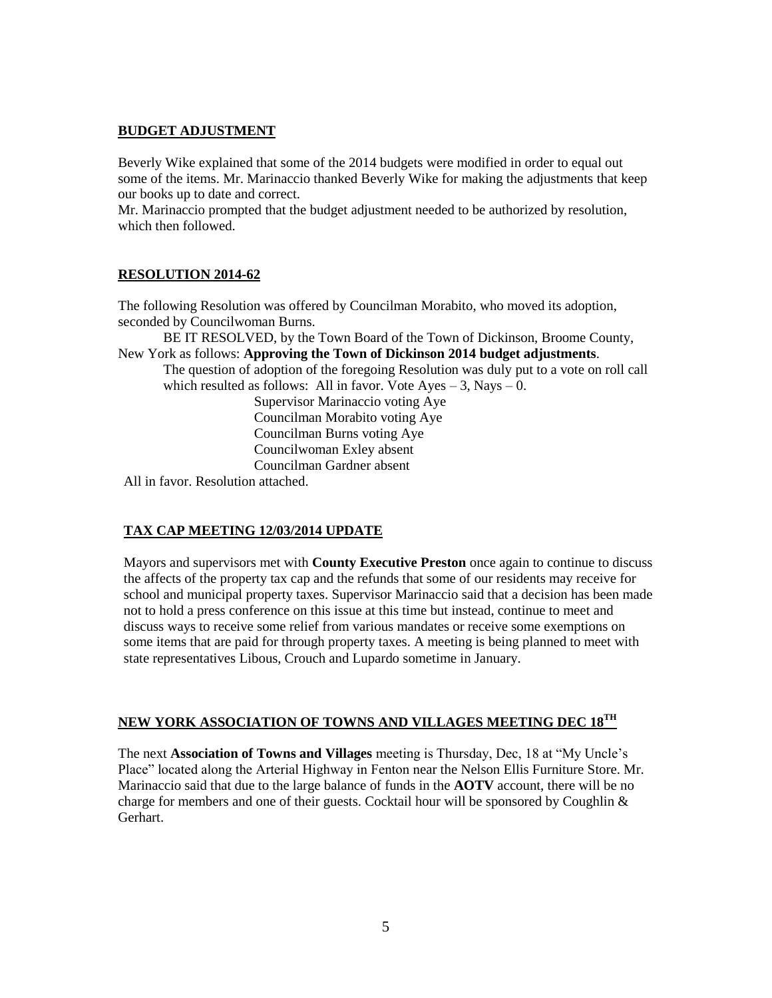# **BUDGET ADJUSTMENT**

Beverly Wike explained that some of the 2014 budgets were modified in order to equal out some of the items. Mr. Marinaccio thanked Beverly Wike for making the adjustments that keep our books up to date and correct.

Mr. Marinaccio prompted that the budget adjustment needed to be authorized by resolution, which then followed.

# **RESOLUTION 2014-62**

The following Resolution was offered by Councilman Morabito, who moved its adoption, seconded by Councilwoman Burns.

BE IT RESOLVED, by the Town Board of the Town of Dickinson, Broome County, New York as follows: **Approving the Town of Dickinson 2014 budget adjustments**.

The question of adoption of the foregoing Resolution was duly put to a vote on roll call which resulted as follows: All in favor. Vote  $Ayes - 3$ , Nays  $- 0$ .

Supervisor Marinaccio voting Aye Councilman Morabito voting Aye Councilman Burns voting Aye Councilwoman Exley absent Councilman Gardner absent

All in favor. Resolution attached.

### **TAX CAP MEETING 12/03/2014 UPDATE**

Mayors and supervisors met with **County Executive Preston** once again to continue to discuss the affects of the property tax cap and the refunds that some of our residents may receive for school and municipal property taxes. Supervisor Marinaccio said that a decision has been made not to hold a press conference on this issue at this time but instead, continue to meet and discuss ways to receive some relief from various mandates or receive some exemptions on some items that are paid for through property taxes. A meeting is being planned to meet with state representatives Libous, Crouch and Lupardo sometime in January.

# **NEW YORK ASSOCIATION OF TOWNS AND VILLAGES MEETING DEC 18TH**

The next **Association of Towns and Villages** meeting is Thursday, Dec, 18 at "My Uncle's Place" located along the Arterial Highway in Fenton near the Nelson Ellis Furniture Store. Mr. Marinaccio said that due to the large balance of funds in the **AOTV** account, there will be no charge for members and one of their guests. Cocktail hour will be sponsored by Coughlin  $\&$ Gerhart.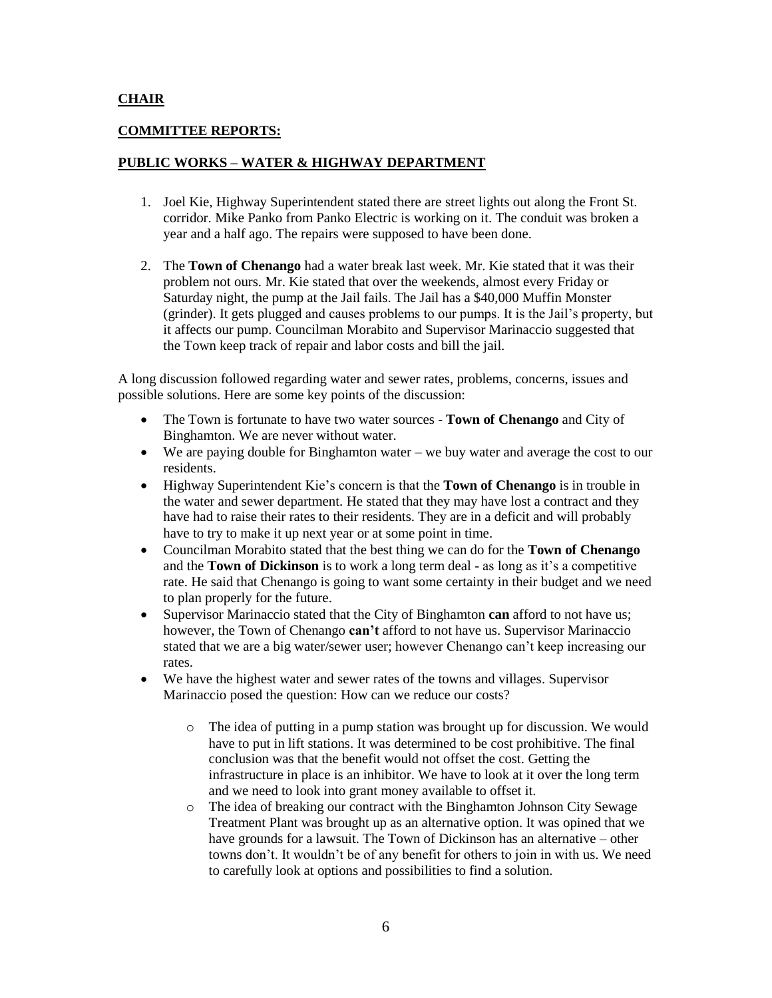### **CHAIR**

### **COMMITTEE REPORTS:**

# **PUBLIC WORKS – WATER & HIGHWAY DEPARTMENT**

- 1. Joel Kie, Highway Superintendent stated there are street lights out along the Front St. corridor. Mike Panko from Panko Electric is working on it. The conduit was broken a year and a half ago. The repairs were supposed to have been done.
- 2. The **Town of Chenango** had a water break last week. Mr. Kie stated that it was their problem not ours. Mr. Kie stated that over the weekends, almost every Friday or Saturday night, the pump at the Jail fails. The Jail has a \$40,000 Muffin Monster (grinder). It gets plugged and causes problems to our pumps. It is the Jail's property, but it affects our pump. Councilman Morabito and Supervisor Marinaccio suggested that the Town keep track of repair and labor costs and bill the jail.

A long discussion followed regarding water and sewer rates, problems, concerns, issues and possible solutions. Here are some key points of the discussion:

- The Town is fortunate to have two water sources **Town of Chenango** and City of Binghamton. We are never without water.
- We are paying double for Binghamton water we buy water and average the cost to our residents.
- Highway Superintendent Kie's concern is that the **Town of Chenango** is in trouble in the water and sewer department. He stated that they may have lost a contract and they have had to raise their rates to their residents. They are in a deficit and will probably have to try to make it up next year or at some point in time.
- Councilman Morabito stated that the best thing we can do for the **Town of Chenango** and the **Town of Dickinson** is to work a long term deal - as long as it's a competitive rate. He said that Chenango is going to want some certainty in their budget and we need to plan properly for the future.
- Supervisor Marinaccio stated that the City of Binghamton **can** afford to not have us; however, the Town of Chenango **can't** afford to not have us. Supervisor Marinaccio stated that we are a big water/sewer user; however Chenango can't keep increasing our rates.
- We have the highest water and sewer rates of the towns and villages. Supervisor Marinaccio posed the question: How can we reduce our costs?
	- o The idea of putting in a pump station was brought up for discussion. We would have to put in lift stations. It was determined to be cost prohibitive. The final conclusion was that the benefit would not offset the cost. Getting the infrastructure in place is an inhibitor. We have to look at it over the long term and we need to look into grant money available to offset it.
	- o The idea of breaking our contract with the Binghamton Johnson City Sewage Treatment Plant was brought up as an alternative option. It was opined that we have grounds for a lawsuit. The Town of Dickinson has an alternative – other towns don't. It wouldn't be of any benefit for others to join in with us. We need to carefully look at options and possibilities to find a solution.